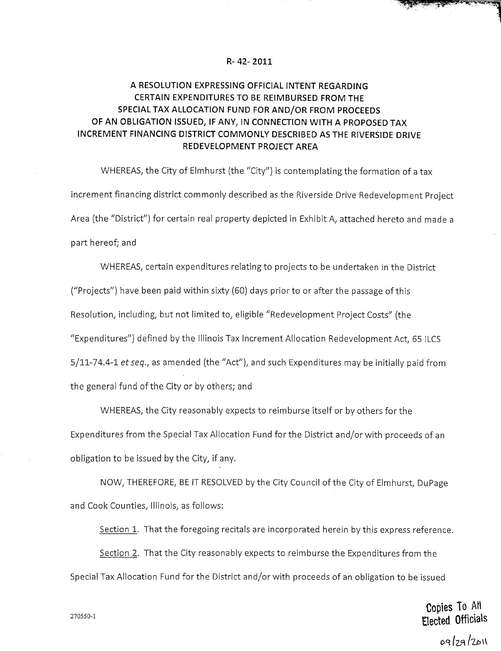## **R- 42-2011**

## **A RESOLUTION EXPRESSING OFFICIAL INTENT REGARDING CERTAIN EXPENDITURES TO BE REIMBURSED FROM THE SPECIAL TAX ALLOCATION FUND FOR AND/OR FROM PROCEEDS OF AN OBLIGATION ISSUED, IF ANY, IN CONNECTION WITH A PROPOSED TAX INCREMENT FINANCING DISTRICT COMMONLY DESCRIBED AS THE RIVERSIDE DRIVE REDEVELOPMENT PROJECT AREA**

WHEREAS, the City of Elmhurst (the "City") is contemplating the formation of a tax increment financing district commonly described as the Riverside Drive Redevelopment Project Area (the "District") for certain real property depicted in Exhibit A, attached hereto and made a part hereof; and

WHEREAS, certain expenditures relating to projects to be undertaken in the District ("Projects") have been paid within sixty (60) days prior to or after the passage of this Resolution, including, but not limited to, eligible "Redevelopment Project Costs" (the "Expenditures") defined by the Illinois Tax Increment Allocation Redevelopment Act, 65 ILCS 5/11-74.4-1 et seq., as amended (the "Act"), and such Expenditures may be initially paid from the general fund of the City or by others; and

WHEREAS, the City reasonably expects to reimburse itself or by others for the Expenditures from the Special Tax Allocation Fund for the District and/or with proceeds of an obligation to be issued by the City, if any.

NOW, THEREFORE, BE IT RESOLVED by the City Council of the City of Elmhurst, DuPage and Cook Counties, Illinois, as follows:

Section 1. That the foregoing recitals are incorporated herein by this express reference.

Section 2. That the City reasonably expects to reimburse the Expenditures from the Special Tax Allocation Fund for the District and/or with proceeds of an obligation to be issued

Copies To AH  $270550-1$  Elected Officials

 $09/29/201$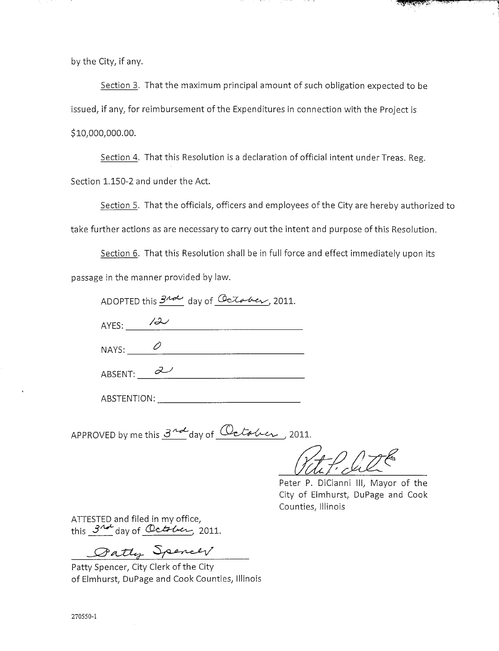by the City, if any.

Section 3. That the maximum principal amount of such obligation expected to be issued, if any, for reimbursement of the Expenditures in connection with the Project is \$10,000,000.00.

Section 4. That this Resolution is a declaration of official intent under Treas. Reg. Section 1.150-2 and under the Act.

Section 5. That the officials, officers and employees of the City are hereby authorized to take further actions as are necessary to carry out the intent and purpose of this Resolution.

Section 6. That this Resolution shall be in full force and effect immediately upon its passage in the manner provided by law.

| ADOPTED this $\frac{340}{\sqrt{2}}$ day of $\frac{6}{\sqrt{2}}$ |  |  |  |
|-----------------------------------------------------------------|--|--|--|
|-----------------------------------------------------------------|--|--|--|

 $AYES:$   $\frac{72}{100}$ 

 $NAYS:$   $\qquad \qquad \mathcal{O}$ 

 $ABSENT: 2$ 

ABSTENTION:

APPROVED by me this  $3^{nd}$  day of  $0$  to to  $u$ , 2011.

Vitil Cit

Peter P. DiCianni III, Mayor of the City of Elmhurst, DuPage and Cook Counties, Illinois

<u> Alberta (</u>

ATTESTED and filed in my office, this  $3^{nd}$  day of October, 2011.

Datty Spencer

Patty Spencer, City Clerk of the City of Elmhurst, DuPage and Cook Counties, Illinois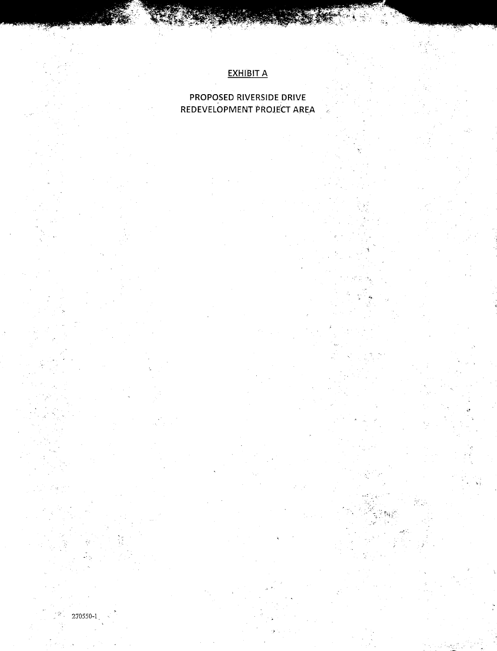## EXHIBIT A

## PROPOSED RIVERSIDE DRIVE REDEVELOPMENT PROJECT AREA